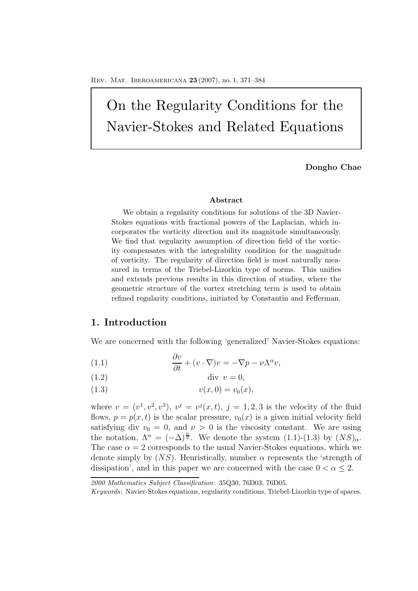# On the Regularity Conditions for the Navier-Stokes and Related Equations

**Dongho Chae**

#### **Abstract**

We obtain a regularity conditions for solutions of the 3D Navier-Stokes equations with fractional powers of the Laplacian, which incorporates the vorticity direction and its magnitude simultaneously. We find that regularity assumption of direction field of the vorticity compensates with the integrability condition for the magnitude of vorticity. The regularity of direction field is most naturally measured in terms of the Triebel-Lizorkin type of norms. This unifies and extends previous results in this direction of studies, where the geometric structure of the vortex stretching term is used to obtain refined regularity conditions, initiated by Constantin and Fefferman.

### **1. Introduction**

We are concerned with the following 'generalized' Navier-Stokes equations:

- (1.1)  $\frac{\partial v}{\partial t} + (v \cdot \nabla)v = -\nabla p \nu \Lambda^{\alpha} v,$
- (1.2) div  $v = 0$ ,
- (1.3)  $v(x, 0) = v_0(x),$

where  $v = (v^1, v^2, v^3), v^j = v^j(x, t), j = 1, 2, 3$  is the velocity of the fluid flows,  $p = p(x, t)$  is the scalar pressure,  $v_0(x)$  is a given initial velocity field satisfying div  $v_0 = 0$ , and  $\nu > 0$  is the viscosity constant. We are using the notation,  $\Lambda^{\alpha} = (-\Delta)^{\frac{\alpha}{2}}$ . We denote the system (1.1)-(1.3) by  $(NS)_{\alpha}$ . The case  $\alpha = 2$  corresponds to the usual Navier-Stokes equations, which we denote simply by  $(NS)$ . Heuristically, number  $\alpha$  represents the 'strength of dissipation', and in this paper we are concerned with the case  $0 < \alpha \leq 2$ .

*<sup>2000</sup> Mathematics Subject Classification*: 35Q30, 76D03, 76D05.

*Keywords*: Navier-Stokes equations, regularity conditions, Triebel-Lizorkin type of spaces.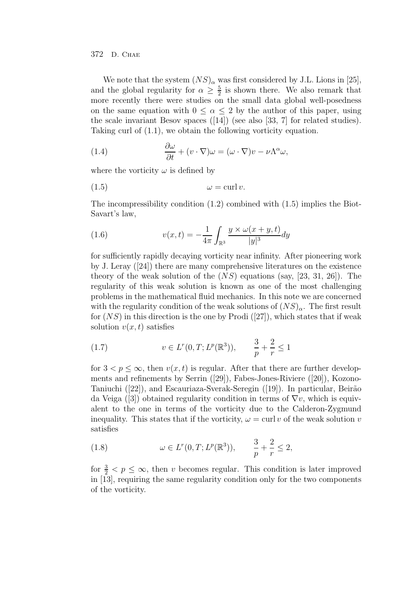We note that the system  $(NS)_{\alpha}$  was first considered by J.L. Lions in [25], and the global regularity for  $\alpha \geq \frac{5}{2}$  is shown there. We also remark that more recently there were studies on the small data global well-posedness on the same equation with  $0 \leq \alpha \leq 2$  by the author of this paper, using the scale invariant Besov spaces ([14]) (see also [33, 7] for related studies). Taking curl of (1.1), we obtain the following vorticity equation.

(1.4) 
$$
\frac{\partial \omega}{\partial t} + (v \cdot \nabla) \omega = (\omega \cdot \nabla) v - \nu \Lambda^{\alpha} \omega,
$$

where the vorticity  $\omega$  is defined by

$$
(1.5) \t\t \t\t \omega = \operatorname{curl} v.
$$

The incompressibility condition (1.2) combined with (1.5) implies the Biot-Savart's law,

(1.6) 
$$
v(x,t) = -\frac{1}{4\pi} \int_{\mathbb{R}^3} \frac{y \times \omega(x+y,t)}{|y|^3} dy
$$

for sufficiently rapidly decaying vorticity near infinity. After pioneering work by J. Leray ([24]) there are many comprehensive literatures on the existence theory of the weak solution of the  $(NS)$  equations (say, [23, 31, 26]). The regularity of this weak solution is known as one of the most challenging problems in the mathematical fluid mechanics. In this note we are concerned with the regularity condition of the weak solutions of  $(NS)_\alpha$ . The first result for  $(NS)$  in this direction is the one by Prodi  $(27)$ , which states that if weak solution  $v(x, t)$  satisfies

(1.7) 
$$
v \in L^{r}(0,T; L^{p}(\mathbb{R}^{3})), \frac{3}{p} + \frac{2}{r} \leq 1
$$

for  $3 < p \leq \infty$ , then  $v(x, t)$  is regular. After that there are further developments and refinements by Serrin ([29]), Fabes-Jones-Riviere ([20]), Kozono-Taniuchi ([22]), and Escauriaza-Sverak-Seregin ([19]). In particular, Beirão da Veiga ([3]) obtained regularity condition in terms of  $\nabla v$ , which is equivalent to the one in terms of the vorticity due to the Calderon-Zygmund inequality. This states that if the vorticity,  $\omega = \text{curl } v$  of the weak solution v satisfies

(1.8) 
$$
\omega \in L^r(0, T; L^p(\mathbb{R}^3)), \frac{3}{p} + \frac{2}{r} \le 2,
$$

for  $\frac{3}{2} < p \leq \infty$ , then v becomes regular. This condition is later improved in [13], requiring the same regularity condition only for the two components of the vorticity.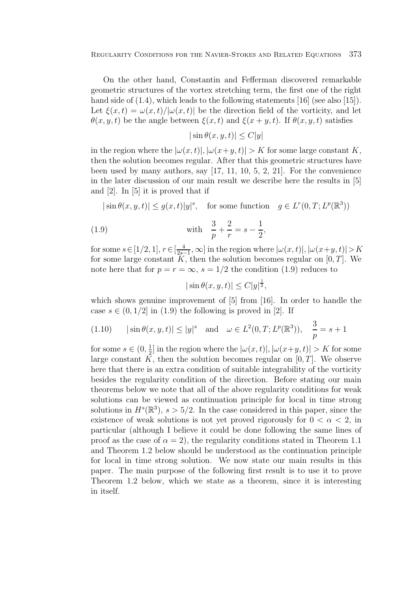Regularity Conditions for the Navier-Stokes and Related Equations 373

On the other hand, Constantin and Fefferman discovered remarkable geometric structures of the vortex stretching term, the first one of the right hand side of  $(1.4)$ , which leads to the following statements  $[16]$  (see also  $[15]$ ). Let  $\xi(x,t) = \omega(x,t)/|\omega(x,t)|$  be the direction field of the vorticity, and let  $\theta(x, y, t)$  be the angle between  $\xi(x, t)$  and  $\xi(x + y, t)$ . If  $\theta(x, y, t)$  satisfies

$$
|\sin \theta(x, y, t)| \le C|y|
$$

in the region where the  $|\omega(x, t)|$ ,  $|\omega(x+y, t)| > K$  for some large constant K, then the solution becomes regular. After that this geometric structures have been used by many authors, say [17, 11, 10, 5, 2, 21]. For the convenience in the later discussion of our main result we describe here the results in [5] and [2]. In [5] it is proved that if

 $|\sin \theta(x, y, t)| \leq g(x, t)|y|^s$ , for some function  $g \in L^r(0, T; L^p(\mathbb{R}^3))$ 

(1.9) with 
$$
\frac{3}{p} + \frac{2}{r} = s - \frac{1}{2}
$$

for some  $s \in [1/2, 1], r \in [\frac{4}{2s-1}, \infty]$  in the region where  $|\omega(x, t)|, |\omega(x+y, t)| > K$ for some large constant K, then the solution becomes regular on  $[0, T]$ . We note here that for  $p = r = \infty$ ,  $s = 1/2$  the condition (1.9) reduces to

,

$$
|\sin \theta(x, y, t)| \le C|y|^{\frac{1}{2}},
$$

which shows genuine improvement of  $[5]$  from  $[16]$ . In order to handle the case  $s \in (0, 1/2]$  in (1.9) the following is proved in [2]. If

(1.10) 
$$
|\sin \theta(x, y, t)| \le |y|^s
$$
 and  $\omega \in L^2(0, T; L^p(\mathbb{R}^3)), \frac{3}{p} = s + 1$ 

for some  $s \in (0, \frac{1}{2}]$  in the region where the  $|\omega(x, t)|, |\omega(x+y, t)| > K$  for some large constant K, then the solution becomes regular on  $[0, T]$ . We observe here that there is an extra condition of suitable integrability of the vorticity besides the regularity condition of the direction. Before stating our main theorems below we note that all of the above regularity conditions for weak solutions can be viewed as continuation principle for local in time strong solutions in  $H^s(\mathbb{R}^3)$ ,  $s > 5/2$ . In the case considered in this paper, since the existence of weak solutions is not yet proved rigorously for  $0 < \alpha < 2$ , in particular (although I believe it could be done following the same lines of proof as the case of  $\alpha = 2$ ), the regularity conditions stated in Theorem 1.1 and Theorem 1.2 below should be understood as the continuation principle for local in time strong solution. We now state our main results in this paper. The main purpose of the following first result is to use it to prove Theorem 1.2 below, which we state as a theorem, since it is interesting in itself.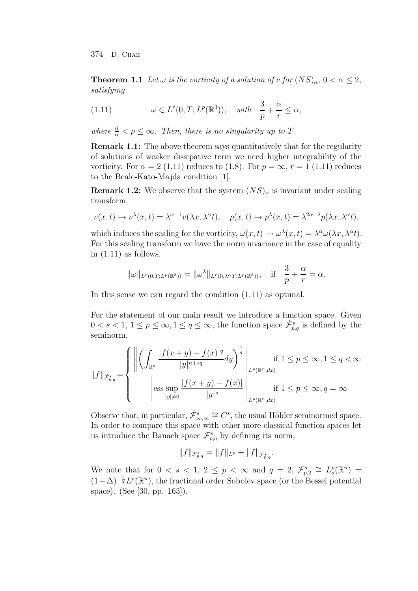**Theorem 1.1** *Let*  $\omega$  *is the vorticity of a solution of v for*  $(NS)_{\alpha}, 0 < \alpha \leq 2$ , *satisfying*

(1.11) 
$$
\omega \in L^r(0,T; L^p(\mathbb{R}^3)), \quad with \quad \frac{3}{p} + \frac{\alpha}{r} \le \alpha,
$$

where  $\frac{6}{\alpha} < p \leq \infty$ . Then, there is no singularity up to T.

**Remark 1.1:** The above theorem says quantitatively that for the regularity of solutions of weaker dissipative term we need higher integrability of the vorticity. For  $\alpha = 2$  (1.11) reduces to (1.8). For  $p = \infty$ ,  $r = 1$  (1.11) reduces to the Beale-Kato-Majda condition [1].

**Remark 1.2:** We observe that the system  $(NS)_\alpha$  is invariant under scaling transform,

$$
v(x,t) \to v^{\lambda}(x,t) = \lambda^{\alpha-1} v(\lambda x, \lambda^{\alpha} t), \quad p(x,t) \to p^{\lambda}(x,t) = \lambda^{2\alpha-2} p(\lambda x, \lambda^{\alpha} t),
$$

which induces the scaling for the vorticity,  $\omega(x, t) \to \omega^{\lambda}(x, t) = \lambda^{\alpha} \omega(\lambda x, \lambda^{\alpha} t)$ . For this scaling transform we have the norm invariance in the case of equality in  $(1.11)$  as follows.

$$
\|\omega\|_{L^r(0,T;L^p(\mathbb{R}^3))}=\|\omega^\lambda\|_{L^r(0,\lambda^\alpha T;L^p(\mathbb{R}^3))}, \quad \text{if} \quad \frac{3}{p}+\frac{\alpha}{r}=\alpha.
$$

In this sense we can regard the condition (1.11) as optimal.

For the statement of our main result we introduce a function space. Given  $0 < s < 1, 1 \le p \le \infty, 1 \le q \le \infty$ , the function space  $\dot{\mathcal{F}}_{p,q}^s$  is defined by the seminorm,

$$
||f||_{\dot{\mathcal{F}}_{p,q}^s} = \n\begin{cases}\n\left\| \left( \int_{\mathbb{R}^n} \frac{|f(x+y) - f(x)|^q}{|y|^{n+sq}} dy \right)^{\frac{1}{q}} \right\|_{L^p(\mathbb{R}^n, dx)} & \text{if } 1 \le p \le \infty, 1 \le q < \infty \\
\left\| \text{ess} \sup_{|y| \neq 0} \frac{|f(x+y) - f(x)|}{|y|^s} \right\|_{L^p(\mathbb{R}^n, dx)} & \text{if } 1 \le p \le \infty, q = \infty\n\end{cases}
$$

Observe that, in particular,  $\dot{\mathcal{F}}_{\infty,\infty}^s \cong C^s$ , the usual Hölder seminormed space. In order to compare this space with other more classical function spaces let us introduce the Banach space  $\mathcal{F}_{n,q}^s$  by defining its norm,

$$
||f||_{\mathcal{F}_{p,q}^s} = ||f||_{L^p} + ||f||_{\dot{\mathcal{F}}_{p,q}^s}.
$$

We note that for  $0 < s < 1, 2 \le p < \infty$  and  $q = 2, \mathcal{F}_{p,2}^s \cong L_s^p(\mathbb{R}^n) =$  $(1-\Delta)^{-\frac{s}{2}}L^p(\mathbb{R}^n)$ , the fractional order Sobolev space (or the Bessel potential space). (See [30, pp. 163]).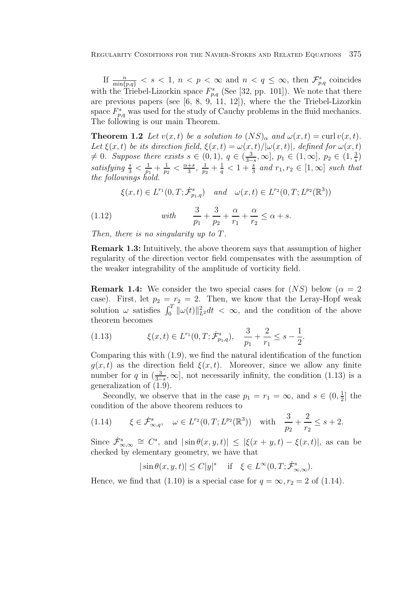If  $\frac{n}{\min\{p,q\}} < s < 1$ ,  $n < p < \infty$  and  $n < q \leq \infty$ , then  $\mathcal{F}_{p,q}^s$  coincides with the Triebel-Lizorkin space  $F_{n,q}^s$  (See [32, pp. 101]). We note that there are previous papers (see [6, 8, 9, 11, 12]), where the the Triebel-Lizorkin space  $F_{n,q}^s$  was used for the study of Cauchy problems in the fluid mechanics. The following is our main Theorem.

**Theorem 1.2** *Let*  $v(x,t)$  *be a solution to*  $(NS)_{\alpha}$  *and*  $\omega(x,t) = \text{curl } v(x,t)$ *.* Let  $\xi(x,t)$  *be its direction field,*  $\xi(x,t) = \omega(x,t)/|\omega(x,t)|$ *, defined for*  $\omega(x,t)$  $\neq$  0*. Suppose there exists*  $s \in (0,1)$ *,*  $q \in (\frac{3}{3-s}, \infty]$ *,*  $p_1 \in (1, \infty]$ *,*  $p_2 \in (1, \frac{3}{s})$  $satisfying \frac{s}{3} < \frac{1}{p_1} + \frac{1}{p_2} < \frac{\alpha+s}{3}, \frac{1}{p_2} + \frac{1}{q} < 1 + \frac{s}{3}$  and  $r_1, r_2 \in [1, \infty]$  such that *the followings hold.*

 $\xi(x,t) \in L^{r_1}(0,T; \dot{\mathcal{F}}^s_{p_1,q})$  *and*  $\omega(x,t) \in L^{r_2}(0,T; L^{p_2}(\mathbb{R}^3))$ 

 $(1.12)$  *with*  $\frac{3}{2}$  $\overline{p}_1$  $^{+}$ 3  $\overline{p}_2$  $+$ α  $r_1$  $+$  $\alpha$  $r<sub>2</sub>$  $\leq \alpha + s.$ 

*Then, there is no singularity up to* T*.*

**Remark 1.3:** Intuitively, the above theorem says that assumption of higher regularity of the direction vector field compensates with the assumption of the weaker integrability of the amplitude of vorticity field.

**Remark 1.4:** We consider the two special cases for  $(NS)$  below  $(\alpha = 2)$ case). First, let  $p_2 = r_2 = 2$ . Then, we know that the Leray-Hopf weak solution  $\omega$  satisfies  $\int_0^T \|\omega(t)\|_{L^2}^2 dt < \infty$ , and the condition of the above theorem becomes

$$
(1.13) \qquad \xi(x,t) \in L^{r_1}(0,T; \dot{\mathcal{F}}_{p_1,q}^s), \quad \frac{3}{p_1} + \frac{2}{r_1} \le s - \frac{1}{2}.
$$

Comparing this with (1.9), we find the natural identification of the function  $g(x, t)$  as the direction field  $\xi(x, t)$ . Moreover, since we allow any finite number for q in  $\left(\frac{3}{3-s},\infty\right]$ , not necessarily infinity, the condition (1.13) is a generalization of (1.9).

Secondly, we observe that in the case  $p_1 = r_1 = \infty$ , and  $s \in (0, \frac{1}{2}]$  the condition of the above theorem reduces to

$$
(1.14) \qquad \xi \in \dot{\mathcal{F}}_{\infty,q}^s, \quad \omega \in L^{r_2}(0,T;L^{p_2}(\mathbb{R}^3)) \quad \text{with} \quad \frac{3}{p_2} + \frac{2}{r_2} \le s+2.
$$

Since  $\dot{\mathcal{F}}_{\infty,\infty}^s \cong C^s$ , and  $|\sin \theta(x, y, t)| \leq |\xi(x + y, t) - \xi(x, t)|$ , as can be checked by elementary geometry, we have that

$$
|\sin \theta(x, y, t)| \le C|y|^s
$$
 if  $\xi \in L^{\infty}(0, T; \dot{\mathcal{F}}^s_{\infty, \infty})$ .

Hence, we find that (1.10) is a special case for  $q = \infty, r_2 = 2$  of (1.14).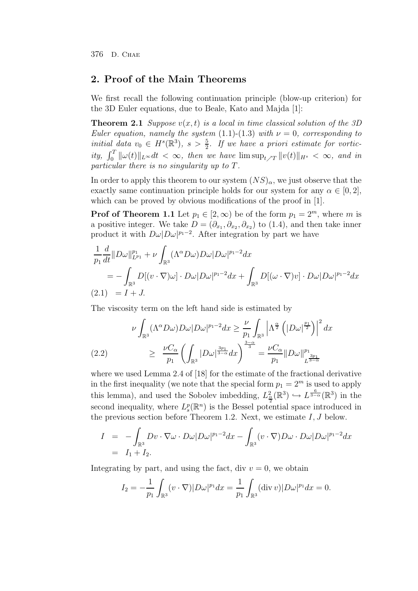## **2. Proof of the Main Theorems**

We first recall the following continuation principle (blow-up criterion) for the 3D Euler equations, due to Beale, Kato and Majda [1]:

**Theorem 2.1** *Suppose*  $v(x, t)$  *is a local in time classical solution of the 3D Euler equation, namely the system*  $(1.1)-(1.3)$  *with*  $\nu = 0$ *, corresponding to initial* data  $v_0 \in H^s(\mathbb{R}^3)$ ,  $s > \frac{5}{2}$ . If we have a priori estimate for vortic- $\int_0^T \|\omega(t)\|_{L^\infty} dt < \infty$ , then we have  $\limsup_{t \nearrow T} \|v(t)\|_{H^s} < \infty$ , and in *particular there is no singularity up to* T*.*

In order to apply this theorem to our system  $(NS)_\alpha$ , we just observe that the exactly same continuation principle holds for our system for any  $\alpha \in [0,2]$ , which can be proved by obvious modifications of the proof in [1].

**Prof of Theorem 1.1** Let  $p_1 \in [2, \infty)$  be of the form  $p_1 = 2^m$ , where m is a positive integer. We take  $D = (\partial_{x_1}, \partial_{x_2}, \partial_{x_2})$  to (1.4), and then take inner product it with  $D\omega|D\omega|^{p_1-2}$ . After integration by part we have

$$
\frac{1}{p_1}\frac{d}{dt}\|D\omega\|_{L^{p_1}}^{p_1} + \nu \int_{\mathbb{R}^3} (\Lambda^{\alpha}D\omega)D\omega|D\omega|^{p_1-2}dx
$$
  
= 
$$
- \int_{\mathbb{R}^3} D[(v \cdot \nabla)\omega] \cdot D\omega|D\omega|^{p_1-2}dx + \int_{\mathbb{R}^3} D[(\omega \cdot \nabla)v] \cdot D\omega|D\omega|^{p_1-2}dx
$$
  
(2.1) = I + J.

The viscosity term on the left hand side is estimated by

$$
\nu \int_{\mathbb{R}^3} (\Lambda^{\alpha} D\omega) D\omega |D\omega|^{p_1 - 2} dx \ge \frac{\nu}{p_1} \int_{\mathbb{R}^3} \left| \Lambda^{\frac{\alpha}{2}} \left( |D\omega|^{\frac{p_1}{2}} \right) \right|^2 dx
$$
  
(2.2) 
$$
\ge \frac{\nu C_{\alpha}}{p_1} \left( \int_{\mathbb{R}^3} |D\omega|^{\frac{3p_1}{3 - \alpha}} dx \right)^{\frac{3 - \alpha}{3}} = \frac{\nu C_{\alpha}}{p_1} ||D\omega||_{L^{\frac{3p_1}{3 - \alpha}}}^{p_1}
$$

where we used Lemma 2.4 of [18] for the estimate of the fractional derivative in the first inequality (we note that the special form  $p_1 = 2^m$  is used to apply this lemma), and used the Sobolev imbedding,  $L^2_{\frac{\alpha}{2}}(\mathbb{R}^3) \hookrightarrow L^{\frac{6}{3-\alpha}}(\mathbb{R}^3)$  in the second inequality, where  $L_s^p(\mathbb{R}^n)$  is the Bessel potential space introduced in the previous section before Theorem 1.2. Next, we estimate  $I, J$  below.

$$
I = -\int_{\mathbb{R}^3} Dv \cdot \nabla \omega \cdot D\omega |D\omega|^{p_1 - 2} dx - \int_{\mathbb{R}^3} (v \cdot \nabla) D\omega \cdot D\omega |D\omega|^{p_1 - 2} dx
$$
  
=  $I_1 + I_2$ .

Integrating by part, and using the fact, div  $v = 0$ , we obtain

$$
I_2 = -\frac{1}{p_1} \int_{\mathbb{R}^3} (v \cdot \nabla) |D\omega|^{p_1} dx = \frac{1}{p_1} \int_{\mathbb{R}^3} (div \, v) |D\omega|^{p_1} dx = 0.
$$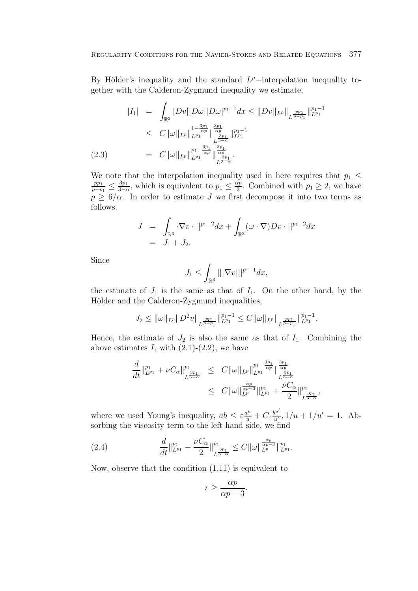By Hölder's inequality and the standard  $L^p$ −interpolation inequality together with the Calderon-Zygmund inequality we estimate,

$$
|I_{1}| = \int_{\mathbb{R}^{3}} |Dv||D\omega||D\omega|^{p_{1}-1} dx \leq ||Dv||_{L^{p}}||_{L^{\frac{pp_{1}}{p-p_{1}}}}||_{L^{p_{1}}}^{p_{1}-1}
$$
  
\n
$$
\leq C||\omega||_{L^{p}}||_{L^{p_{1}}}^{1-\frac{3p_{1}}{\alpha p}}||_{L^{p_{1}}}^{\frac{3p_{1}}{\alpha p}}||_{L^{p_{1}}}^{p_{1}-1}
$$
  
\n(2.3) 
$$
= C||\omega||_{L^{p}}||_{L^{p_{1}}}^{p_{1}-\frac{3p_{1}}{\alpha p}}||_{L^{3}\frac{3p_{1}}{\alpha p}}^{\frac{3p_{1}}{\alpha p}}.
$$

We note that the interpolation inequality used in here requires that  $p_1 \leq$  $\frac{pp_1}{p-p_1} \leq \frac{3p_1}{3-\alpha}$ , which is equivalent to  $p_1 \leq \frac{\alpha p}{3}$ . Combined with  $p_1 \geq 2$ , we have  $p \geq 6/\alpha$ . In order to estimate J we first decompose it into two terms as follows.

$$
J = \int_{\mathbb{R}^3} \nabla v \cdot ||^{p_1 - 2} dx + \int_{\mathbb{R}^3} (\omega \cdot \nabla) Dv \cdot ||^{p_1 - 2} dx
$$
  
=  $J_1 + J_2$ .

Since

$$
J_1 \leq \int_{\mathbb{R}^3} |||\nabla v|||^{p_1 - 1} dx,
$$

the estimate of  $J_1$  is the same as that of  $I_1$ . On the other hand, by the Hölder and the Calderon-Zygmund inequalities,

$$
J_2 \leq \|\omega\|_{L^p} \|D^2 v\|_{L^{\frac{pp_1}{p-p_1}}} \|_{L^{p_1}}^{p_1-1} \leq C \|\omega\|_{L^p} \|_{L^{\frac{pp_1}{p-p_1}}} \|_{L^{p_1}}^{p_1-1}.
$$

Hence, the estimate of  $J_2$  is also the same as that of  $I_1$ . Combining the above estimates  $I$ , with  $(2.1)-(2.2)$ , we have

$$
\frac{d}{dt}\|_{L^{p_1}}^{p_1} + \nu C_{\alpha}\|_{L^{\frac{3p_1}{3-\alpha}}}^{p_1} \leq C\|\omega\|_{L^p}\|_{L^{p_1}}^{p_1 - \frac{3p_1}{\alpha p}}\|_{L^{\frac{3p_1}{3-\alpha}}}^{\frac{3p_1}{\alpha p}}
$$
\n
$$
\leq C\|\omega\|_{L^p}^{\frac{\alpha p}{\alpha p-3}}\|_{L^{p_1}}^{p_1} + \frac{\nu C_{\alpha}}{2}\|_{L^{\frac{3p_1}{3-\alpha}}}^{p_1},
$$

where we used Young's inequality,  $ab \leq \varepsilon \frac{a^u}{u} + C_{\varepsilon} \frac{b^{u'}}{u'}, 1/u + 1/u' = 1$ . Absorbing the viscosity term to the left hand side, we find

(2.4) 
$$
\frac{d}{dt}\Big\|_{L^{p_1}}^{p_1} + \frac{\nu C_{\alpha}}{2}\Big\|_{L^{\frac{3p_1}{3-\alpha}}}^{p_1} \leq C \|\omega\|_{L^{p}}^{\frac{\alpha p}{\alpha p-3}}\|_{L^{p_1}}^{p_1}.
$$

Now, observe that the condition (1.11) is equivalent to

$$
r \ge \frac{\alpha p}{\alpha p - 3}.
$$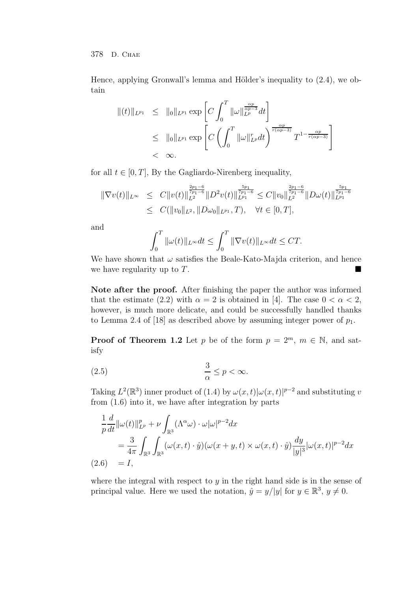Hence, applying Gronwall's lemma and Hölder's inequality to  $(2.4)$ , we obtain

$$
||(t)||_{L^{p_1}} \leq ||0||_{L^{p_1}} \exp \left[ C \int_0^T ||\omega||_{L^{p}}^{\frac{\alpha p}{\alpha p - 3}} dt \right]
$$
  
\n
$$
\leq ||0||_{L^{p_1}} \exp \left[ C \left( \int_0^T ||\omega||_{L^p}^r dt \right)^{\frac{\alpha p}{r(\alpha p - 3)}} T^{1 - \frac{\alpha p}{r(\alpha p - 3)}} \right]
$$
  
\n
$$
< \infty.
$$

for all  $t \in [0, T]$ , By the Gagliardo-Nirenberg inequality,

$$
\begin{array}{rcl}\|\nabla v(t)\|_{L^{\infty}} & \leq & C\|v(t)\|_{L^{2}}^{\frac{2p_{1}-6}{7p_{1}-6}}\|D^{2}v(t)\|_{L^{p_{1}}}^{\frac{5p_{1}}{7p_{1}-6}} \leq & C\|v_{0}\|_{L^{2}}^{\frac{2p_{1}-6}{7p_{1}-6}}\|D\omega(t)\|_{L^{p_{1}}}^{\frac{5p_{1}}{7p_{1}-6}} \\
& \leq & C(\|v_{0}\|_{L^{2}},\|D\omega_{0}\|_{L^{p_{1}}},T), \quad \forall t \in [0,T],\n\end{array}
$$

and

$$
\int_0^T \|\omega(t)\|_{L^\infty} dt \le \int_0^T \|\nabla v(t)\|_{L^\infty} dt \le CT.
$$

We have shown that  $\omega$  satisfies the Beale-Kato-Majda criterion, and hence we have regularity up to  $T$ .

**Note after the proof.** After finishing the paper the author was informed that the estimate (2.2) with  $\alpha = 2$  is obtained in [4]. The case  $0 < \alpha < 2$ , however, is much more delicate, and could be successfully handled thanks to Lemma 2.4 of [18] as described above by assuming integer power of  $p_1$ .

**Proof of Theorem 1.2** Let p be of the form  $p = 2^m$ ,  $m \in \mathbb{N}$ , and satisfy

$$
\frac{3}{\alpha} \le p < \infty.
$$

Taking  $L^2(\mathbb{R}^3)$  inner product of  $(1.4)$  by  $\omega(x,t)|\omega(x,t)|^{p-2}$  and substituting v from (1.6) into it, we have after integration by parts

$$
\frac{1}{p}\frac{d}{dt}\|\omega(t)\|_{L^p}^p + \nu \int_{\mathbb{R}^3} (\Lambda^\alpha \omega) \cdot \omega |\omega|^{p-2} dx
$$
  
= 
$$
\frac{3}{4\pi} \int_{\mathbb{R}^3} \int_{\mathbb{R}^3} (\omega(x,t) \cdot \hat{y}) (\omega(x+y,t) \times \omega(x,t) \cdot \hat{y}) \frac{dy}{|y|^3} |\omega(x,t)|^{p-2} dx
$$
  
(2.6) = I,

where the integral with respect to  $y$  in the right hand side is in the sense of principal value. Here we used the notation,  $\tilde{y} = y/|y|$  for  $y \in \mathbb{R}^3$ ,  $y \neq 0$ .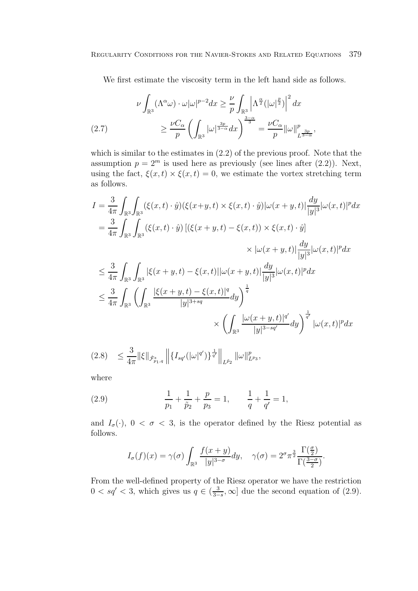We first estimate the viscosity term in the left hand side as follows.

$$
\nu \int_{\mathbb{R}^3} (\Lambda^{\alpha} \omega) \cdot \omega |\omega|^{p-2} dx \ge \frac{\nu}{p} \int_{\mathbb{R}^3} \left| \Lambda^{\frac{\alpha}{2}} (|\omega|^{\frac{p}{2}}) \right|^2 dx
$$
  
(2.7)  

$$
\ge \frac{\nu C_{\alpha}}{p} \left( \int_{\mathbb{R}^3} |\omega|^{\frac{3p}{3-\alpha}} dx \right)^{\frac{3-\alpha}{3}} = \frac{\nu C_{\alpha}}{p} ||\omega||_{L^{\frac{3p}{3-\alpha}}}^p,
$$

which is similar to the estimates in (2.2) of the previous proof. Note that the assumption  $p = 2^m$  is used here as previously (see lines after (2.2)). Next, using the fact,  $\xi(x, t) \times \xi(x, t) = 0$ , we estimate the vortex stretching term as follows.

$$
I = \frac{3}{4\pi} \int_{\mathbb{R}^3} \int_{\mathbb{R}^3} (\xi(x,t) \cdot \hat{y}) (\xi(x+y,t) \times \xi(x,t) \cdot \hat{y}) |\omega(x+y,t)| \frac{dy}{|y|^3} |\omega(x,t)|^p dx
$$
  
\n
$$
= \frac{3}{4\pi} \int_{\mathbb{R}^3} \int_{\mathbb{R}^3} (\xi(x,t) \cdot \hat{y}) [(\xi(x+y,t) - \xi(x,t)) \times \xi(x,t) \cdot \hat{y}]
$$
  
\n
$$
\times |\omega(x+y,t)| \frac{dy}{|y|^3} |\omega(x,t)|^p dx
$$
  
\n
$$
\leq \frac{3}{4\pi} \int_{\mathbb{R}^3} \int_{\mathbb{R}^3} |\xi(x+y,t) - \xi(x,t)| |\omega(x+y,t)| \frac{dy}{|y|^3} |\omega(x,t)|^p dx
$$
  
\n
$$
\leq \frac{3}{4\pi} \int_{\mathbb{R}^3} \left( \int_{\mathbb{R}^3} \frac{|\xi(x+y,t) - \xi(x,t)|^q}{|y|^{3+sq}} dy \right)^{\frac{1}{q}}
$$
  
\n
$$
\times \left( \int_{\mathbb{R}^3} \frac{|\omega(x+y,t)|^{q'}}{|y|^{3-sq'}} dy \right)^{\frac{1}{q'}} |\omega(x,t)|^p dx
$$

$$
(2.8) \leq \frac{3}{4\pi} \|\xi\|_{\dot{\mathcal{F}}^s_{p_1,q}} \left\| \{I_{sq'}(|\omega|^{q'})\}^{\frac{1}{q'}}\right\|_{L^{\tilde{p}_2}} \|\omega\|_{L^{p_3}}^p,
$$

where

(2.9) 
$$
\frac{1}{p_1} + \frac{1}{\tilde{p}_2} + \frac{p}{p_3} = 1, \qquad \frac{1}{q} + \frac{1}{q'} = 1,
$$

and  $I_{\sigma}(\cdot)$ ,  $0 < \sigma < 3$ , is the operator defined by the Riesz potential as follows.

$$
I_{\sigma}(f)(x) = \gamma(\sigma) \int_{\mathbb{R}^3} \frac{f(x+y)}{|y|^{3-\sigma}} dy, \quad \gamma(\sigma) = 2^{\sigma} \pi^{\frac{3}{2}} \frac{\Gamma(\frac{\sigma}{2})}{\Gamma(\frac{3-\sigma}{2})}.
$$

From the well-defined property of the Riesz operator we have the restriction  $0 < sq' < 3$ , which gives us  $q \in (\frac{3}{3-s}, \infty]$  due the second equation of (2.9).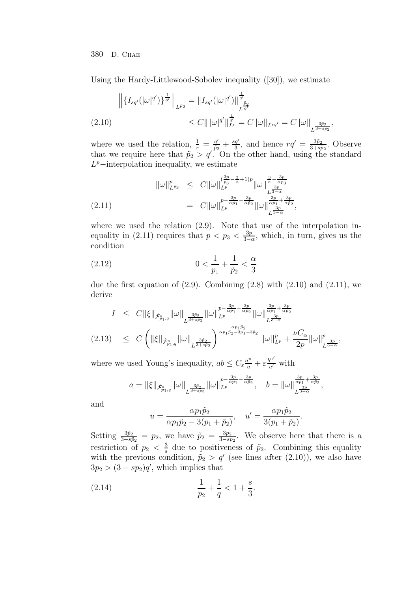Using the Hardy-Littlewood-Sobolev inequality ([30]), we estimate

$$
\left\| \left\{ I_{sq'}(|\omega|^{q'}) \right\}^{\frac{1}{q'}} \right\|_{L^{\tilde{p}_2}} = \| I_{sq'}(|\omega|^{q'}) \|_{L^{\frac{\tilde{p}_2}{q'}}}^{\frac{1}{q'}} \n\leq C \| |\omega|^{q'} \|_{L^r}^{\frac{1}{q'}} = C \| \omega \|_{L^{rq'}} = C \| \omega \|_{L^{\frac{3\tilde{p}_2}{3+3\tilde{p}_2}}},
$$

where we used the relation,  $\frac{1}{r} = \frac{q'}{\tilde{p}_2} + \frac{sq'}{3}$ , and hence  $rq' = \frac{3\tilde{p}_2}{3+s\tilde{p}_2}$ . Observe that we require here that  $\tilde{p}_2 > q'$ . On the other hand, using the standard  $L^p$ –interpolation inequality, we estimate

$$
\|\omega\|_{L^{p_3}}^p \leq C \|\omega\|_{L^p}^{\left(\frac{3p}{p_3} - \frac{3}{\alpha} + 1\right)p} \|\omega\|_{L^{\frac{3p}{2-\alpha}}}^{\frac{3}{\alpha} - \frac{3p}{\alpha p_3}} \n= C \|\omega\|_{L^p}^{\frac{p}{p} - \frac{3p}{\alpha p_1} - \frac{3p}{\alpha p_2}} \|\omega\|_{L^{\frac{3p}{2-\alpha}}}^{\frac{3p}{\alpha p_1} + \frac{3p}{\alpha p_2}},
$$

where we used the relation  $(2.9)$ . Note that use of the interpolation inequality in (2.11) requires that  $p < p_3 < \frac{3p}{3-\alpha}$ , which, in turn, gives us the condition

(2.12) 
$$
0 < \frac{1}{p_1} + \frac{1}{\tilde{p}_2} < \frac{\alpha}{3}
$$

due the first equation of  $(2.9)$ . Combining  $(2.8)$  with  $(2.10)$  and  $(2.11)$ , we derive

$$
I \leq C \|\xi\|_{\dot{\mathcal{F}}^s_{p_1,q}} \|\omega\|_{L^{\frac{3\tilde{p}_2}{3+s\tilde{p}_2}}} \|\omega\|_{L^p}^{p - \frac{3p}{\alpha p_1} - \frac{3p}{\alpha \tilde{p}_2}} \|\omega\|_{L^{\frac{3p}{3-\alpha}}}^{\frac{3p}{\alpha p_1} + \frac{3p}{\alpha \tilde{p}_2}} (2.13) \leq C \left( \|\xi\|_{\dot{\mathcal{F}}^s_{p_1,q}} \|\omega\|_{L^{\frac{3\tilde{p}_2}{3+s\tilde{p}_2}}} \right)^{\frac{\alpha p_1 \tilde{p}_2}{\alpha p_1 \tilde{p}_2 - 3p_1 - 3\tilde{p}_2}} \|\omega\|_{L^p}^p + \frac{\nu C_{\alpha}}{2p} \|\omega\|_{L^{\frac{3p}{3-\alpha}}}^p,
$$

where we used Young's inequality,  $ab \leq C_{\varepsilon} \frac{a^u}{u} + \varepsilon \frac{b^{u'}}{u'}$  with

$$
a=\|\xi\|_{\dot{\mathcal{F}}^s_{p_1,q}}\|\omega\|_{L^{\frac{3\tilde{p}_2}{3+s\tilde{p}_2}}}\|\omega\|_{L^p}^{p-\frac{3p}{\alpha p_1}-\frac{3p}{\alpha \tilde{p}_2}}, \quad b=\|\omega\|_{L^{\frac{3p}{\alpha p_1}+\frac{3p}{\alpha \tilde{p}_2}}},
$$

and

$$
u = \frac{\alpha p_1 \tilde{p}_2}{\alpha p_1 \tilde{p}_2 - 3(p_1 + \tilde{p}_2)}, \quad u' = \frac{\alpha p_1 \tilde{p}_2}{3(p_1 + \tilde{p}_2)}.
$$

Setting  $\frac{3\tilde{p}_2}{3+s\tilde{p}_2} = p_2$ , we have  $\tilde{p}_2 = \frac{3p_2}{3-sp_2}$ . We observe here that there is a restriction of  $p_2 < \frac{3}{s}$  due to positiveness of  $\tilde{p}_2$ . Combining this equality with the previous condition,  $\tilde{p}_2 > q'$  (see lines after (2.10)), we also have  $3p_2 > (3 - sp_2)q'$ , which implies that

(2.14) 
$$
\frac{1}{p_2} + \frac{1}{q} < 1 + \frac{s}{3}.
$$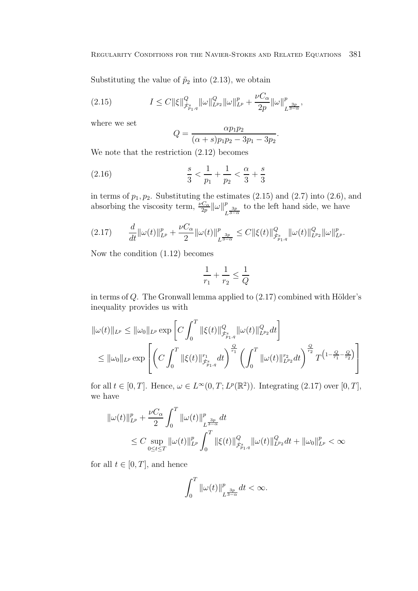Substituting the value of  $\tilde{p}_2$  into (2.13), we obtain

$$
(2.15) \tI \leq C \|\xi\|_{\dot{\mathcal{F}}^s_{p_1,q}}^Q \|\omega\|_{L^{p_2}}^Q \|\omega\|_{L^p}^p + \frac{\nu C_\alpha}{2p} \|\omega\|_{L^{\frac{3p}{3-\alpha}}}^p,
$$

where we set

$$
Q = \frac{\alpha p_1 p_2}{(\alpha + s) p_1 p_2 - 3p_1 - 3p_2}.
$$

We note that the restriction (2.12) becomes

(2.16) 
$$
\frac{s}{3} < \frac{1}{p_1} + \frac{1}{p_2} < \frac{\alpha}{3} + \frac{s}{3}
$$

in terms of  $p_1, p_2$ . Substituting the estimates  $(2.15)$  and  $(2.7)$  into  $(2.6)$ , and absorbing the viscosity term,  $\frac{\nu C_{\alpha}}{2p} ||\omega||_{L^{\frac{3p}{3-\alpha}}}^p$ to the left hand side, we have

$$
(2.17) \t\t \frac{d}{dt} \|\omega(t)\|_{L^p}^p + \frac{\nu C_\alpha}{2} \|\omega(t)\|_{L^{\frac{3p}{3-\alpha}}}^p \leq C \|\xi(t)\|_{\dot{\mathcal{F}}^s_{p_1,q}}^Q \|\omega(t)\|_{L^{p_2}}^Q \|\omega\|_{L^p}^p.
$$

Now the condition (1.12) becomes

$$
\frac{1}{r_1} + \frac{1}{r_2} \le \frac{1}{Q}
$$

in terms of  $Q$ . The Gronwall lemma applied to  $(2.17)$  combined with Hölder's inequality provides us with

$$
\|\omega(t)\|_{L^{p}} \leq \|\omega_{0}\|_{L^{p}} \exp\left[C \int_{0}^{T} \|\xi(t)\|_{\dot{\mathcal{F}}^{s}_{p_{1},q}}^{Q} \|\omega(t)\|_{L^{p_{2}}}^{Q} dt\right]
$$
  

$$
\leq \|\omega_{0}\|_{L^{p}} \exp\left[\left(C \int_{0}^{T} \|\xi(t)\|_{\dot{\mathcal{F}}^{s}_{p_{1},q}}^{r_{1}} dt\right)^{\frac{Q}{r_{1}}} \left(\int_{0}^{T} \|\omega(t)\|_{L^{p_{2}}}^{r_{2}} dt\right)^{\frac{Q}{r_{2}}} T^{\left(1-\frac{Q}{r_{1}}-\frac{Q}{r_{2}}\right)}\right]
$$

for all  $t \in [0, T]$ . Hence,  $\omega \in L^{\infty}(0, T; L^{p}(\mathbb{R}^{2}))$ . Integrating  $(2.17)$  over  $[0, T]$ , we have

$$
\begin{aligned} \|\omega(t)\|_{L^p}^p &+ \frac{\nu C_\alpha}{2} \int_0^T \|\omega(t)\|_{L^{\frac{3p}{2-\alpha}}}^p dt \\ &\leq C \sup_{0\leq t\leq T} \|\omega(t)\|_{L^p}^p \int_0^T \|\xi(t)\|_{\dot{\mathcal{F}}^s_{p_1,q}}^Q \|\omega(t)\|_{L^{p_2}}^Q dt + \|\omega_0\|_{L^p}^p < \infty \end{aligned}
$$

for all  $t \in [0, T]$ , and hence

$$
\int_0^T \|\omega(t)\|_{L^{\frac{3p}{3-\alpha}}}^p dt < \infty.
$$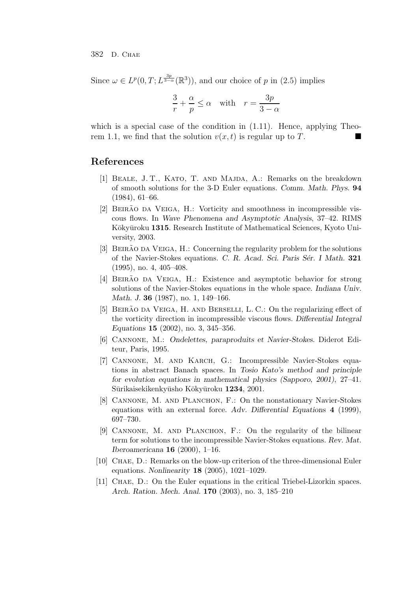Since  $\omega \in L^p(0,T; L^{\frac{3p}{3-\alpha}}(\mathbb{R}^3))$ , and our choice of p in (2.5) implies

$$
\frac{3}{r} + \frac{\alpha}{p} \le \alpha \quad \text{with} \quad r = \frac{3p}{3-\alpha}
$$

which is a special case of the condition in  $(1.11)$ . Hence, applying Theorem 1.1, we find that the solution  $v(x, t)$  is regular up to T.

## **References**

- [1] Beale, J. T., Kato, T. and Majda, A.: Remarks on the breakdown of smooth solutions for the 3-D Euler equations. *Comm. Math. Phys.* **94** (1984), 61–66.
- [2] BEIRÃO DA VEIGA, H.: Vorticity and smoothness in incompressible viscous flows. In *Wave Phenomena and Asymptotic Analysis*, 37–42. RIMS Kōkyūroku 1315. Research Institute of Mathematical Sciences, Kyoto University, 2003.
- [3] BEIRÃO DA VEIGA, H.: Concerning the regularity problem for the solutions of the Navier-Stokes equations. *C. R. Acad. Sci. Paris S´er. I Math.* **321** (1995), no. 4, 405–408.
- [4] BEIRÃO DA VEIGA, H.: Existence and asymptotic behavior for strong solutions of the Navier-Stokes equations in the whole space. *Indiana Univ. Math. J.* **36** (1987), no. 1, 149–166.
- [5] BEIRÃO DA VEIGA, H. AND BERSELLI, L. C.: On the regularizing effect of the vorticity direction in incompressible viscous flows. *Differential Integral Equations* **15** (2002), no. 3, 345–356.
- [6] Cannone, M.: *Ondelettes, paraproduits et Navier-Stokes*. Diderot Editeur, Paris, 1995.
- [7] Cannone, M. and Karch, G.: Incompressible Navier-Stokes equations in abstract Banach spaces. In *Tosio Kato's method and principle for evolution equations in mathematical physics (Sapporo, 2001)*, 27–41. Sūrikaisekikenkyūsho Kōkyūroku 1234, 2001.
- [8] CANNONE, M. AND PLANCHON, F.: On the nonstationary Navier-Stokes equations with an external force. *Adv. Differential Equations* **4** (1999), 697–730.
- [9] Cannone, M. and Planchon, F.: On the regularity of the bilinear term for solutions to the incompressible Navier-Stokes equations. *Rev. Mat. Iberoamericana* **16** (2000), 1–16.
- [10] CHAE, D.: Remarks on the blow-up criterion of the three-dimensional Euler equations. *Nonlinearity* **18** (2005), 1021–1029.
- [11] Chae, D.: On the Euler equations in the critical Triebel-Lizorkin spaces. *Arch. Ration. Mech. Anal.* **170** (2003), no. 3, 185–210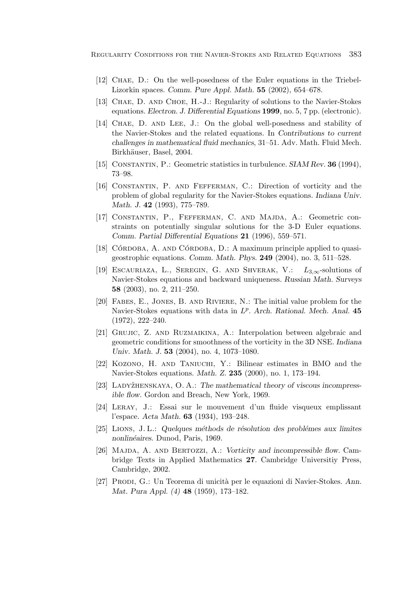Regularity Conditions for the Navier-Stokes and Related Equations 383

- [12] Chae, D.: On the well-posedness of the Euler equations in the Triebel-Lizorkin spaces. *Comm. Pure Appl. Math.* **55** (2002), 654–678.
- [13] Chae, D. and Choe, H.-J.: Regularity of solutions to the Navier-Stokes equations. *Electron. J. Differential Equations* **1999**, no. 5, 7 pp. (electronic).
- [14] Chae, D. and Lee, J.: On the global well-posedness and stability of the Navier-Stokes and the related equations. In *Contributions to current challenges in mathematical fluid mechanics*, 31–51. Adv. Math. Fluid Mech. Birkhäuser, Basel, 2004.
- [15] Constantin, P.: Geometric statistics in turbulence. *SIAM Rev.* **36** (1994), 73–98.
- [16] Constantin, P. and Fefferman, C.: Direction of vorticity and the problem of global regularity for the Navier-Stokes equations. *Indiana Univ. Math. J.* **42** (1993), 775–789.
- [17] CONSTANTIN, P., FEFFERMAN, C. AND MAJDA, A.: Geometric constraints on potentially singular solutions for the 3-D Euler equations. *Comm. Partial Differential Equations* **21** (1996), 559–571.
- [18] CÓRDOBA, A. AND CÓRDOBA, D.: A maximum principle applied to quasigeostrophic equations. *Comm. Math. Phys.* **249** (2004), no. 3, 511–528.
- [19] Escauriaza, L., Seregin, G. and Shverak, V.: *L*3,∞-solutions of Navier-Stokes equations and backward uniqueness. *Russian Math. Surveys* **58** (2003), no. 2, 211–250.
- [20] Fabes, E., Jones, B. and Riviere, N.: The initial value problem for the Navier-Stokes equations with data in  $L^p$ . *Arch. Rational. Mech. Anal.* 45 (1972), 222–240.
- [21] Grujic, Z. and Ruzmaikina, A.: Interpolation between algebraic and geometric conditions for smoothness of the vorticity in the 3D NSE. *Indiana Univ. Math. J.* **53** (2004), no. 4, 1073–1080.
- [22] Kozono, H. and Taniuchi, Y.: Bilinear estimates in BMO and the Navier-Stokes equations. *Math. Z.* **235** (2000), no. 1, 173–194.
- [23] Ladyˇzhenskaya, O. A.: *The mathematical theory of viscous incompressible flow*. Gordon and Breach, New York, 1969.
- [24] Leray, J.: Essai sur le mouvement d'un fluide visqueux emplissant l'espace. *Acta Math.* **63** (1934), 193–248.
- [25] Lions, J. L.: *Quelques m´ethods de r´esolution des probl´emes aux limites nonlin´eaires*. Dunod, Paris, 1969.
- [26] Majda, A. and Bertozzi, A.: *Vorticity and incompressible flow*. Cambridge Texts in Applied Mathematics **27**. Cambridge Universitiy Press, Cambridge, 2002.
- [27] Prodi, G.: Un Teorema di unicit`a per le equazioni di Navier-Stokes. *Ann. Mat. Pura Appl. (4)* **48** (1959), 173–182.